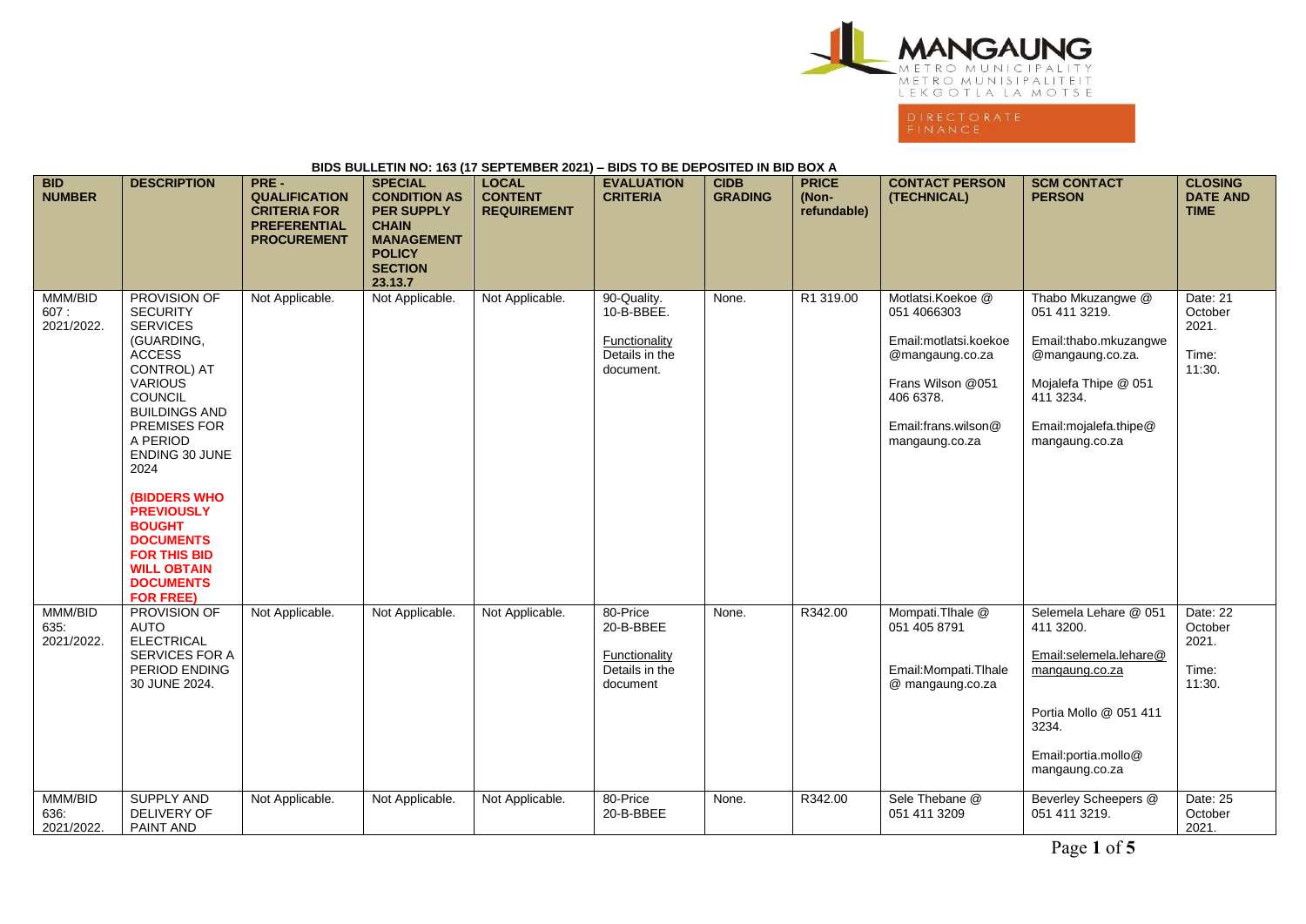

## **BIDS BULLETIN NO: 163 (17 SEPTEMBER 2021) – BIDS TO BE DEPOSITED IN BID BOX A**

| <b>BID</b><br><b>NUMBER</b>   | <b>DESCRIPTION</b>                                                                                                                                                                                                                                                                                                                                                                               | PRE-<br><b>QUALIFICATION</b><br><b>CRITERIA FOR</b><br><b>PREFERENTIAL</b><br><b>PROCUREMENT</b> | <b>SPECIAL</b><br><b>CONDITION AS</b><br><b>PER SUPPLY</b><br><b>CHAIN</b><br><b>MANAGEMENT</b><br><b>POLICY</b><br><b>SECTION</b><br>23.13.7 | <b>LOCAL</b><br><b>CONTENT</b><br><b>REQUIREMENT</b> | <b>EVALUATION</b><br><b>CRITERIA</b>                                      | <b>CIDB</b><br><b>GRADING</b> | <b>PRICE</b><br>(Non-<br>refundable) | <b>CONTACT PERSON</b><br>(TECHNICAL)                                                                                                                    | <b>SCM CONTACT</b><br><b>PERSON</b>                                                                                                                              | <b>CLOSING</b><br><b>DATE AND</b><br><b>TIME</b> |
|-------------------------------|--------------------------------------------------------------------------------------------------------------------------------------------------------------------------------------------------------------------------------------------------------------------------------------------------------------------------------------------------------------------------------------------------|--------------------------------------------------------------------------------------------------|-----------------------------------------------------------------------------------------------------------------------------------------------|------------------------------------------------------|---------------------------------------------------------------------------|-------------------------------|--------------------------------------|---------------------------------------------------------------------------------------------------------------------------------------------------------|------------------------------------------------------------------------------------------------------------------------------------------------------------------|--------------------------------------------------|
| MMM/BID<br>607:<br>2021/2022. | PROVISION OF<br><b>SECURITY</b><br><b>SERVICES</b><br>(GUARDING,<br><b>ACCESS</b><br>CONTROL) AT<br><b>VARIOUS</b><br>COUNCIL<br><b>BUILDINGS AND</b><br><b>PREMISES FOR</b><br>A PERIOD<br><b>ENDING 30 JUNE</b><br>2024<br><b>(BIDDERS WHO)</b><br><b>PREVIOUSLY</b><br><b>BOUGHT</b><br><b>DOCUMENTS</b><br><b>FOR THIS BID</b><br><b>WILL OBTAIN</b><br><b>DOCUMENTS</b><br><b>FOR FREE)</b> | Not Applicable.                                                                                  | Not Applicable.                                                                                                                               | Not Applicable.                                      | 90-Quality.<br>10-B-BBEE.<br>Functionality<br>Details in the<br>document. | None.                         | R1 319.00                            | Motlatsi.Koekoe @<br>051 4066303<br>Email:motlatsi.koekoe<br>@mangaung.co.za<br>Frans Wilson @051<br>406 6378.<br>Email:frans.wilson@<br>mangaung.co.za | Thabo Mkuzangwe @<br>051 411 3219.<br>Email:thabo.mkuzangwe<br>@mangaung.co.za.<br>Mojalefa Thipe @ 051<br>411 3234.<br>Email: mojalefa.thipe@<br>mangaung.co.za | Date: 21<br>October<br>2021.<br>Time:<br>11:30.  |
| MMM/BID<br>635:<br>2021/2022. | PROVISION OF<br><b>AUTO</b><br><b>ELECTRICAL</b><br><b>SERVICES FOR A</b><br>PERIOD ENDING<br>30 JUNE 2024.                                                                                                                                                                                                                                                                                      | Not Applicable.                                                                                  | Not Applicable.                                                                                                                               | Not Applicable.                                      | 80-Price<br>20-B-BBEE<br>Functionality<br>Details in the<br>document      | None.                         | R342.00                              | Mompati.Tlhale @<br>051 405 8791<br>Email: Mompati. Thale<br>@ mangaung.co.za                                                                           | Selemela Lehare @ 051<br>411 3200.<br>Email:selemela.lehare@<br>mangaung.co.za<br>Portia Mollo @ 051 411<br>3234.<br>Email:portia.mollo@<br>mangaung.co.za       | Date: 22<br>October<br>2021.<br>Time:<br>11:30.  |
| MMM/BID<br>636.<br>2021/2022. | <b>SUPPLY AND</b><br>DELIVERY OF<br>PAINT AND                                                                                                                                                                                                                                                                                                                                                    | Not Applicable.                                                                                  | Not Applicable.                                                                                                                               | Not Applicable.                                      | 80-Price<br>20-B-BBEE                                                     | None.                         | R342.00                              | Sele Thebane @<br>051 411 3209                                                                                                                          | Beverley Scheepers @<br>051 411 3219.                                                                                                                            | Date: 25<br>October<br>2021.                     |

Page **1** of **5**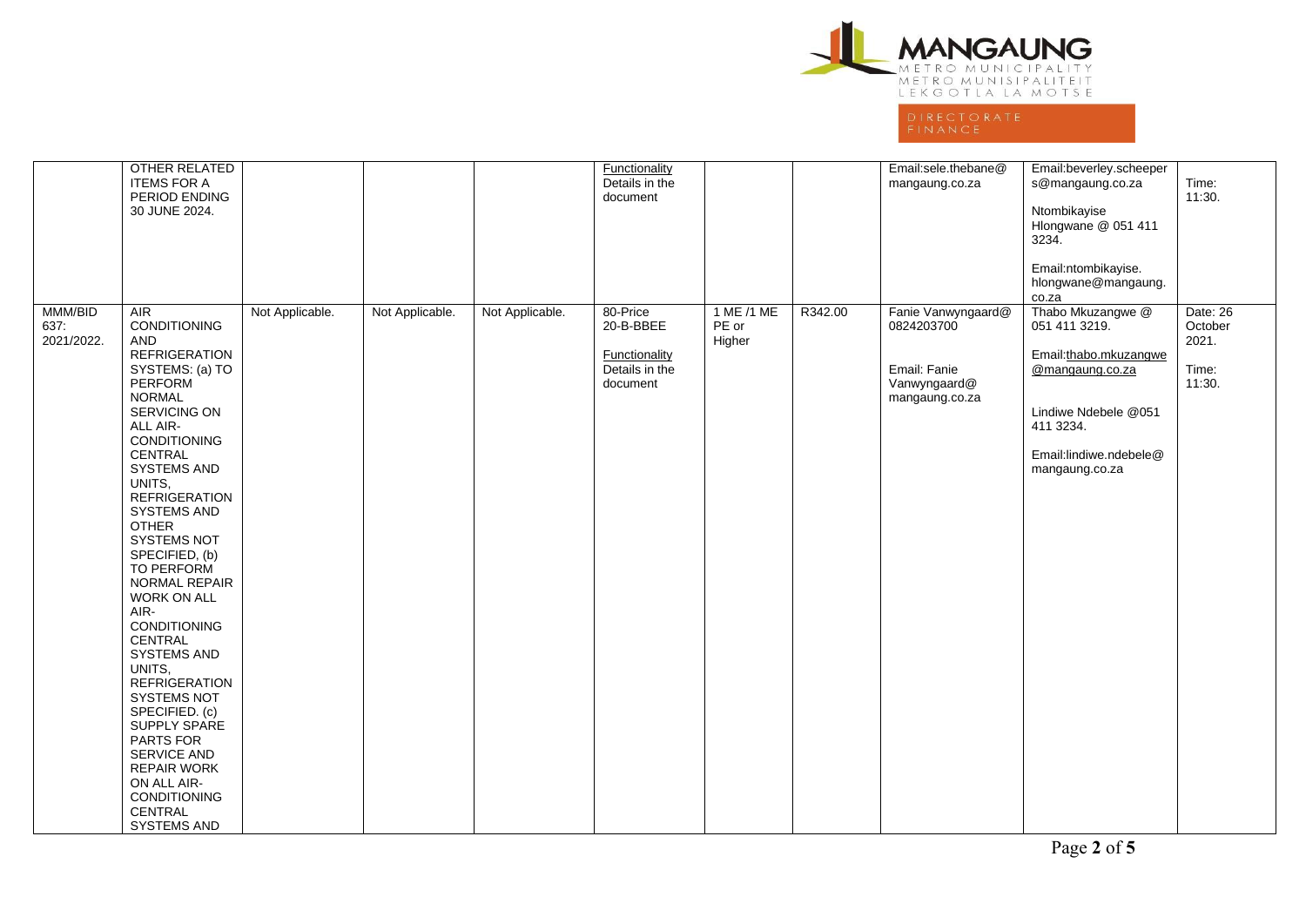

|                               | OTHER RELATED<br><b>ITEMS FOR A</b><br>PERIOD ENDING<br>30 JUNE 2024.                                                                                                                                                                                                                                                                              |                 |                 |                 | <b>Functionality</b><br>Details in the<br>document                   |                               |         | Email:sele.thebane@<br>mangaung.co.za                                              | Email:beverley.scheeper<br>s@mangaung.co.za<br>Ntombikayise<br>Hlongwane @ 051 411<br>3234.<br>Email:ntombikayise.<br>hlongwane@mangaung.                                | Time:<br>11:30.                                 |
|-------------------------------|----------------------------------------------------------------------------------------------------------------------------------------------------------------------------------------------------------------------------------------------------------------------------------------------------------------------------------------------------|-----------------|-----------------|-----------------|----------------------------------------------------------------------|-------------------------------|---------|------------------------------------------------------------------------------------|--------------------------------------------------------------------------------------------------------------------------------------------------------------------------|-------------------------------------------------|
| MMM/BID<br>637:<br>2021/2022. | $\overline{AIR}$<br><b>CONDITIONING</b><br>AND.<br><b>REFRIGERATION</b><br>SYSTEMS: (a) TO<br><b>PERFORM</b><br><b>NORMAL</b><br>SERVICING ON<br>ALL AIR-<br>CONDITIONING<br>CENTRAL<br>SYSTEMS AND<br>UNITS,<br><b>REFRIGERATION</b><br>SYSTEMS AND<br><b>OTHER</b><br>SYSTEMS NOT<br>SPECIFIED, (b)<br><b>TO PERFORM</b><br><b>NORMAL REPAIR</b> | Not Applicable. | Not Applicable. | Not Applicable. | 80-Price<br>20-B-BBEE<br>Functionality<br>Details in the<br>document | 1 ME /1 ME<br>PE or<br>Higher | R342.00 | Fanie Vanwyngaard@<br>0824203700<br>Email: Fanie<br>Vanwyngaard@<br>mangaung.co.za | co.za<br>Thabo Mkuzangwe @<br>051 411 3219.<br>Email:thabo.mkuzangwe<br>@mangaung.co.za<br>Lindiwe Ndebele @051<br>411 3234.<br>Email:lindiwe.ndebele@<br>mangaung.co.za | Date: 26<br>October<br>2021.<br>Time:<br>11:30. |
|                               | <b>WORK ON ALL</b><br>AIR-<br>CONDITIONING<br>CENTRAL<br><b>SYSTEMS AND</b><br>UNITS.<br><b>REFRIGERATION</b><br>SYSTEMS NOT<br>SPECIFIED. (c)<br>SUPPLY SPARE<br>PARTS FOR<br><b>SERVICE AND</b><br><b>REPAIR WORK</b><br>ON ALL AIR-<br>CONDITIONING<br>CENTRAL<br>SYSTEMS AND                                                                   |                 |                 |                 |                                                                      |                               |         |                                                                                    |                                                                                                                                                                          |                                                 |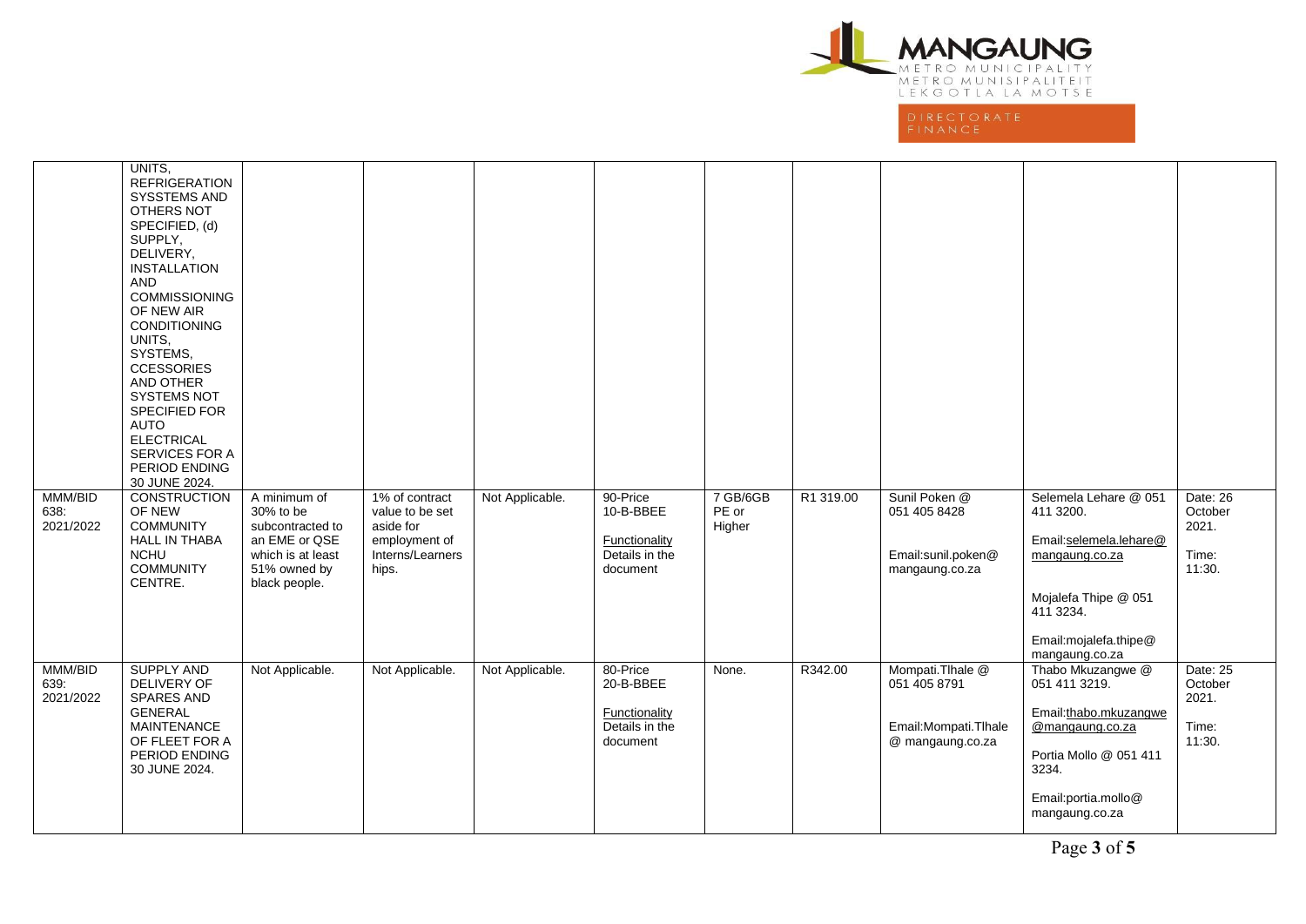

|                              | UNITS,<br><b>REFRIGERATION</b><br><b>SYSSTEMS AND</b><br>OTHERS NOT<br>SPECIFIED, (d)<br>SUPPLY,<br>DELIVERY,<br><b>INSTALLATION</b><br><b>AND</b><br><b>COMMISSIONING</b><br>OF NEW AIR<br>CONDITIONING<br>UNITS.<br>SYSTEMS,<br><b>CCESSORIES</b><br>AND OTHER<br><b>SYSTEMS NOT</b><br>SPECIFIED FOR<br>AUTO<br><b>ELECTRICAL</b><br>SERVICES FOR A<br>PERIOD ENDING<br>30 JUNE 2024. |                                                                                                                      |                                                                                              |                 |                                                                             |                             |           |                                                                               |                                                                                                                                                                |                                                 |
|------------------------------|------------------------------------------------------------------------------------------------------------------------------------------------------------------------------------------------------------------------------------------------------------------------------------------------------------------------------------------------------------------------------------------|----------------------------------------------------------------------------------------------------------------------|----------------------------------------------------------------------------------------------|-----------------|-----------------------------------------------------------------------------|-----------------------------|-----------|-------------------------------------------------------------------------------|----------------------------------------------------------------------------------------------------------------------------------------------------------------|-------------------------------------------------|
| MMM/BID<br>638.<br>2021/2022 | <b>CONSTRUCTION</b><br>OF NEW<br><b>COMMUNITY</b><br><b>HALL IN THABA</b><br><b>NCHU</b><br><b>COMMUNITY</b><br>CENTRE.                                                                                                                                                                                                                                                                  | A minimum of<br>30% to be<br>subcontracted to<br>an EME or QSE<br>which is at least<br>51% owned by<br>black people. | 1% of contract<br>value to be set<br>aside for<br>employment of<br>Interns/Learners<br>hips. | Not Applicable. | 90-Price<br>10-B-BBEE<br>Functionality<br>Details in the<br>document        | 7 GB/6GB<br>PE or<br>Higher | R1 319.00 | Sunil Poken @<br>051 405 8428<br>Email:sunil.poken@<br>mangaung.co.za         | Selemela Lehare @ 051<br>411 3200.<br>Email:selemela.lehare@<br>mangaung.co.za<br>Mojalefa Thipe @ 051<br>411 3234.<br>Email:mojalefa.thipe@<br>mangaung.co.za | Date: 26<br>October<br>2021.<br>Time:<br>11:30. |
| MMM/BID<br>639.<br>2021/2022 | <b>SUPPLY AND</b><br>DELIVERY OF<br><b>SPARES AND</b><br><b>GENERAL</b><br><b>MAINTENANCE</b><br>OF FLEET FOR A<br>PERIOD ENDING<br>30 JUNE 2024.                                                                                                                                                                                                                                        | Not Applicable.                                                                                                      | Not Applicable.                                                                              | Not Applicable. | 80-Price<br>20-B-BBEE<br><b>Functionality</b><br>Details in the<br>document | None.                       | R342.00   | Mompati.Tlhale @<br>051 405 8791<br>Email: Mompati. Thale<br>@ mangaung.co.za | Thabo Mkuzangwe @<br>051 411 3219.<br>Email:thabo.mkuzangwe<br>@mangaung.co.za<br>Portia Mollo @ 051 411<br>3234.<br>Email:portia.mollo@<br>mangaung.co.za     | Date: 25<br>October<br>2021.<br>Time:<br>11:30. |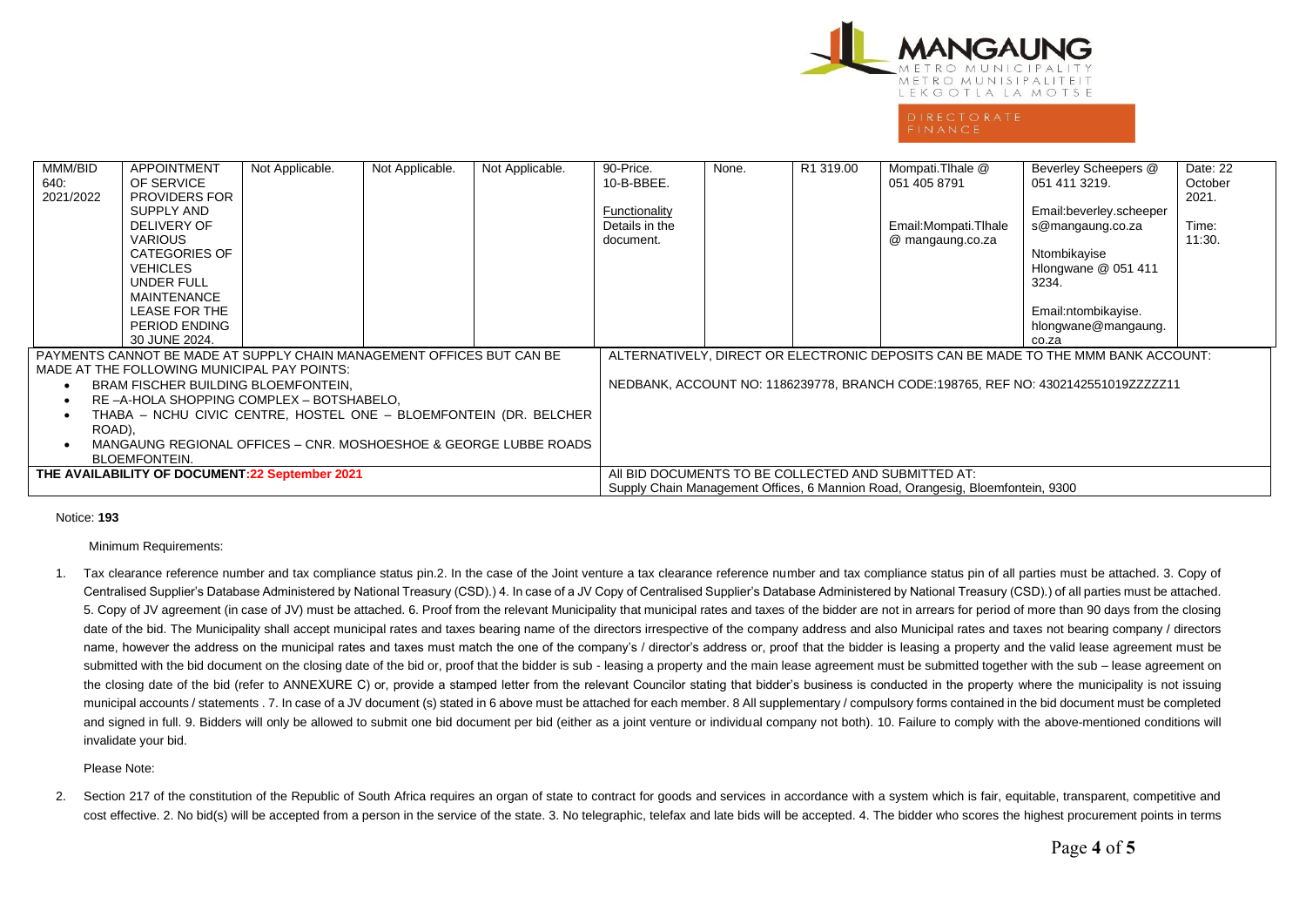

# **DIRECTORATE**

| MMM/BID<br><b>APPOINTMENT</b><br>OF SERVICE<br>640.<br>2021/2022<br>SUPPLY AND<br><b>DELIVERY OF</b><br><b>VARIOUS</b><br><b>VEHICLES</b><br>UNDER FULL<br><b>MAINTENANCE</b><br>LEASE FOR THE<br>PERIOD ENDING<br>30 JUNE 2024. | Not Applicable.<br>PROVIDERS FOR<br><b>CATEGORIES OF</b> | Not Applicable. | Not Applicable.                                                                | 90-Price.<br>10-B-BBEE.<br>Functionality<br>Details in the<br>document. | None.                                                                             | R <sub>1</sub> 319.00 | Mompati.Tlhale @<br>051 405 8791<br>Email: Mompati. Thale<br>@ mangaung.co.za | Beverley Scheepers @<br>051 411 3219.<br>Email:beverley.scheeper<br>s@mangaung.co.za<br>Ntombikayise<br>Hlongwane @ 051 411<br>3234.<br>Email:ntombikayise.<br>hlongwane@mangaung.<br>co.za | Date: 22<br>October<br>2021.<br>Time:<br>11:30. |  |  |
|----------------------------------------------------------------------------------------------------------------------------------------------------------------------------------------------------------------------------------|----------------------------------------------------------|-----------------|--------------------------------------------------------------------------------|-------------------------------------------------------------------------|-----------------------------------------------------------------------------------|-----------------------|-------------------------------------------------------------------------------|---------------------------------------------------------------------------------------------------------------------------------------------------------------------------------------------|-------------------------------------------------|--|--|
| PAYMENTS CANNOT BE MADE AT SUPPLY CHAIN MANAGEMENT OFFICES BUT CAN BE                                                                                                                                                            |                                                          |                 |                                                                                |                                                                         | ALTERNATIVELY, DIRECT OR ELECTRONIC DEPOSITS CAN BE MADE TO THE MMM BANK ACCOUNT: |                       |                                                                               |                                                                                                                                                                                             |                                                 |  |  |
| MADE AT THE FOLLOWING MUNICIPAL PAY POINTS:                                                                                                                                                                                      |                                                          |                 |                                                                                |                                                                         |                                                                                   |                       |                                                                               |                                                                                                                                                                                             |                                                 |  |  |
| BRAM FISCHER BUILDING BLOEMFONTEIN,                                                                                                                                                                                              |                                                          |                 |                                                                                |                                                                         | NEDBANK, ACCOUNT NO: 1186239778, BRANCH CODE:198765, REF NO: 4302142551019ZZZZZ11 |                       |                                                                               |                                                                                                                                                                                             |                                                 |  |  |
| RE -A-HOLA SHOPPING COMPLEX - BOTSHABELO.                                                                                                                                                                                        |                                                          |                 |                                                                                |                                                                         |                                                                                   |                       |                                                                               |                                                                                                                                                                                             |                                                 |  |  |
| THABA - NCHU CIVIC CENTRE, HOSTEL ONE - BLOEMFONTEIN (DR. BELCHER<br>ROAD),                                                                                                                                                      |                                                          |                 |                                                                                |                                                                         |                                                                                   |                       |                                                                               |                                                                                                                                                                                             |                                                 |  |  |
| MANGAUNG REGIONAL OFFICES – CNR. MOSHOESHOE & GEORGE LUBBE ROADS                                                                                                                                                                 |                                                          |                 |                                                                                |                                                                         |                                                                                   |                       |                                                                               |                                                                                                                                                                                             |                                                 |  |  |
| <b>BLOEMFONTEIN.</b>                                                                                                                                                                                                             |                                                          |                 |                                                                                |                                                                         |                                                                                   |                       |                                                                               |                                                                                                                                                                                             |                                                 |  |  |
| THE AVAILABILITY OF DOCUMENT:22 September 2021                                                                                                                                                                                   |                                                          |                 |                                                                                |                                                                         | AII BID DOCUMENTS TO BE COLLECTED AND SUBMITTED AT:                               |                       |                                                                               |                                                                                                                                                                                             |                                                 |  |  |
|                                                                                                                                                                                                                                  |                                                          |                 | Supply Chain Management Offices, 6 Mannion Road, Orangesig, Bloemfontein, 9300 |                                                                         |                                                                                   |                       |                                                                               |                                                                                                                                                                                             |                                                 |  |  |

### Notice: **193**

Minimum Requirements:

1. Tax clearance reference number and tax compliance status pin.2. In the case of the Joint venture a tax clearance reference number and tax compliance status pin of all parties must be attached. 3. Copy of Centralised Supplier's Database Administered by National Treasury (CSD).) 4. In case of a JV Copy of Centralised Supplier's Database Administered by National Treasury (CSD).) of all parties must be attached. 5. Copy of JV agreement (in case of JV) must be attached. 6. Proof from the relevant Municipality that municipal rates and taxes of the bidder are not in arrears for period of more than 90 days from the closing date of the bid. The Municipality shall accept municipal rates and taxes bearing name of the directors irrespective of the company address and also Municipal rates and taxes not bearing company / directors name, however the address on the municipal rates and taxes must match the one of the company's / director's address or, proof that the bidder is leasing a property and the valid lease agreement must be submitted with the bid document on the closing date of the bid or, proof that the bidder is sub - leasing a property and the main lease agreement must be submitted together with the sub – lease agreement on the closing date of the bid (refer to ANNEXURE C) or, provide a stamped letter from the relevant Councilor stating that bidder's business is conducted in the property where the municipality is not issuing municipal accounts / statements . 7. In case of a JV document (s) stated in 6 above must be attached for each member. 8 All supplementary / compulsory forms contained in the bid document must be completed and signed in full. 9. Bidders will only be allowed to submit one bid document per bid (either as a joint venture or individual company not both). 10. Failure to comply with the above-mentioned conditions will invalidate your bid.

### Please Note:

2. Section 217 of the constitution of the Republic of South Africa requires an organ of state to contract for goods and services in accordance with a system which is fair, equitable, transparent, competitive and cost effective. 2. No bid(s) will be accepted from a person in the service of the state. 3. No telegraphic, telefax and late bids will be accepted. 4. The bidder who scores the highest procurement points in terms